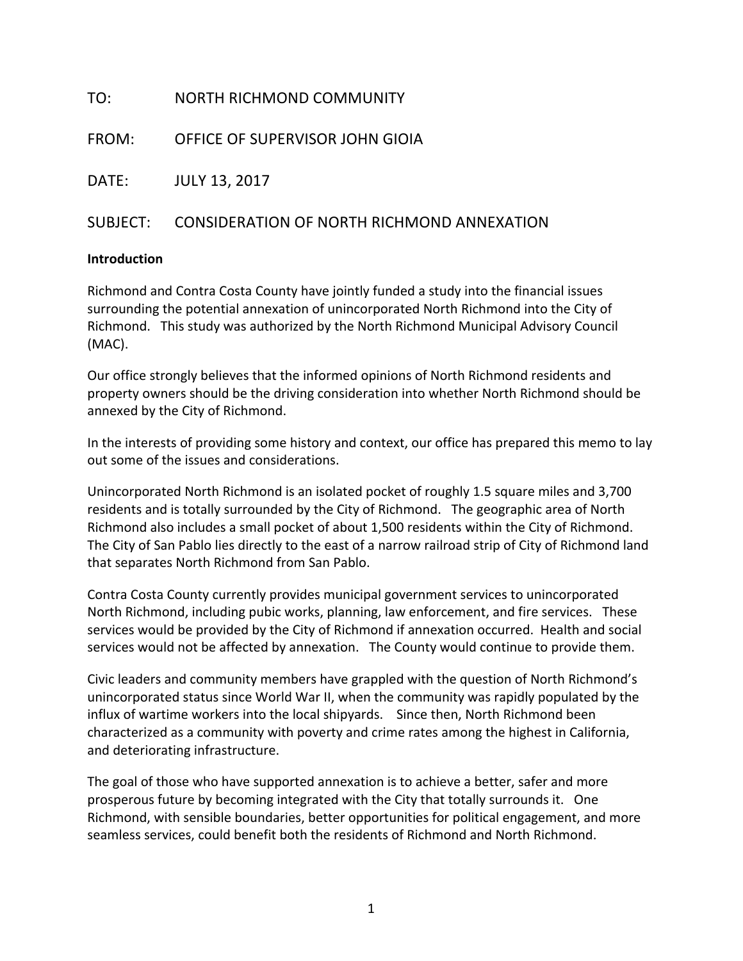| TO:   | NORTH RICHMOND COMMUNITY                            |
|-------|-----------------------------------------------------|
|       | FROM: OFFICE OF SUPERVISOR JOHN GIOIA               |
| DATE: | <b>JULY 13, 2017</b>                                |
|       | SUBJECT: CONSIDERATION OF NORTH RICHMOND ANNEXATION |

#### **Introduction**

Richmond and Contra Costa County have jointly funded a study into the financial issues surrounding the potential annexation of unincorporated North Richmond into the City of Richmond. This study was authorized by the North Richmond Municipal Advisory Council (MAC).

Our office strongly believes that the informed opinions of North Richmond residents and property owners should be the driving consideration into whether North Richmond should be annexed by the City of Richmond.

In the interests of providing some history and context, our office has prepared this memo to lay out some of the issues and considerations.

Unincorporated North Richmond is an isolated pocket of roughly 1.5 square miles and 3,700 residents and is totally surrounded by the City of Richmond. The geographic area of North Richmond also includes a small pocket of about 1,500 residents within the City of Richmond. The City of San Pablo lies directly to the east of a narrow railroad strip of City of Richmond land that separates North Richmond from San Pablo.

Contra Costa County currently provides municipal government services to unincorporated North Richmond, including pubic works, planning, law enforcement, and fire services. These services would be provided by the City of Richmond if annexation occurred. Health and social services would not be affected by annexation. The County would continue to provide them.

Civic leaders and community members have grappled with the question of North Richmond's unincorporated status since World War II, when the community was rapidly populated by the influx of wartime workers into the local shipyards. Since then, North Richmond been characterized as a community with poverty and crime rates among the highest in California, and deteriorating infrastructure.

The goal of those who have supported annexation is to achieve a better, safer and more prosperous future by becoming integrated with the City that totally surrounds it. One Richmond, with sensible boundaries, better opportunities for political engagement, and more seamless services, could benefit both the residents of Richmond and North Richmond.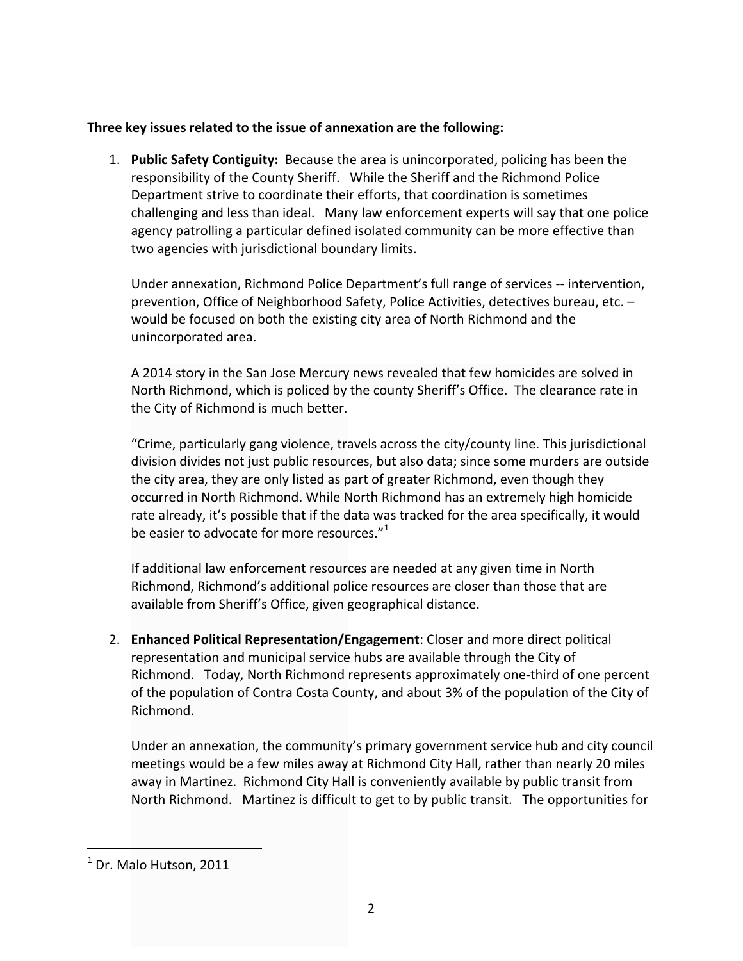#### Three key issues related to the issue of annexation are the following:

1. **Public Safety Contiguity:** Because the area is unincorporated, policing has been the responsibility of the County Sheriff. While the Sheriff and the Richmond Police Department strive to coordinate their efforts, that coordination is sometimes challenging and less than ideal. Many law enforcement experts will say that one police agency patrolling a particular defined isolated community can be more effective than two agencies with jurisdictional boundary limits.

Under annexation, Richmond Police Department's full range of services -- intervention, prevention, Office of Neighborhood Safety, Police Activities, detectives bureau, etc. would be focused on both the existing city area of North Richmond and the unincorporated area.

A 2014 story in the San Jose Mercury news revealed that few homicides are solved in North Richmond, which is policed by the county Sheriff's Office. The clearance rate in the City of Richmond is much better.

"Crime, particularly gang violence, travels across the city/county line. This jurisdictional division divides not just public resources, but also data; since some murders are outside the city area, they are only listed as part of greater Richmond, even though they occurred in North Richmond. While North Richmond has an extremely high homicide rate already, it's possible that if the data was tracked for the area specifically, it would be easier to advocate for more resources. $"^{1}$ 

If additional law enforcement resources are needed at any given time in North Richmond, Richmond's additional police resources are closer than those that are available from Sheriff's Office, given geographical distance.

2. **Enhanced Political Representation/Engagement**: Closer and more direct political representation and municipal service hubs are available through the City of Richmond. Today, North Richmond represents approximately one-third of one percent of the population of Contra Costa County, and about 3% of the population of the City of Richmond.

Under an annexation, the community's primary government service hub and city council meetings would be a few miles away at Richmond City Hall, rather than nearly 20 miles away in Martinez. Richmond City Hall is conveniently available by public transit from North Richmond. Martinez is difficult to get to by public transit. The opportunities for

 

 $<sup>1</sup>$  Dr. Malo Hutson, 2011</sup>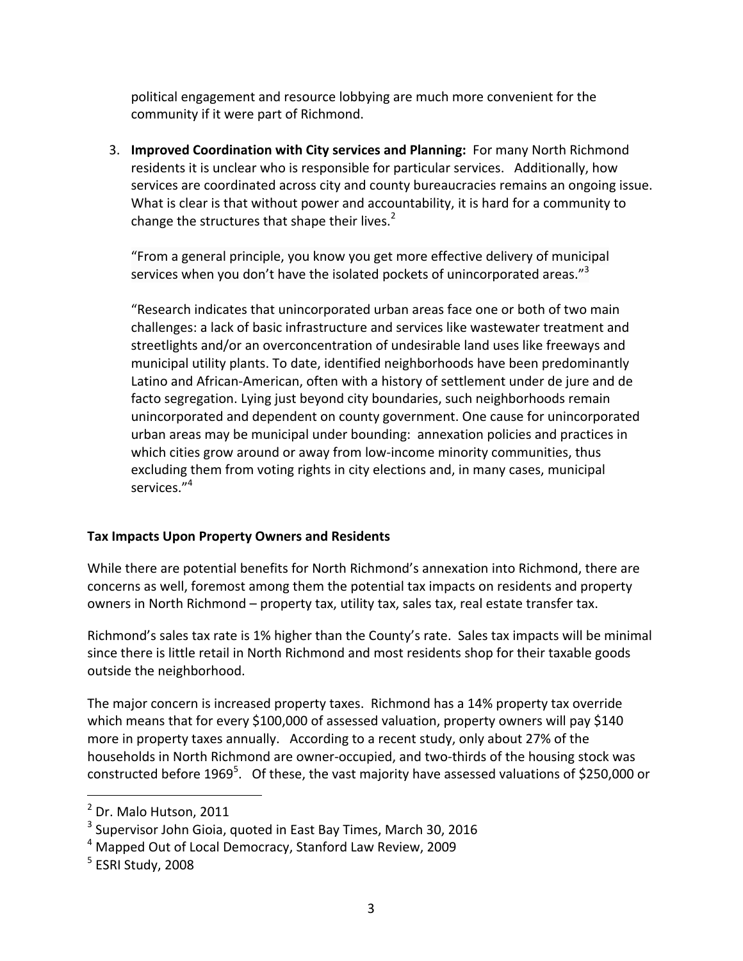political engagement and resource lobbying are much more convenient for the community if it were part of Richmond.

3. **Improved Coordination with City services and Planning:** For many North Richmond residents it is unclear who is responsible for particular services. Additionally, how services are coordinated across city and county bureaucracies remains an ongoing issue. What is clear is that without power and accountability, it is hard for a community to change the structures that shape their lives. $2^2$ 

"From a general principle, you know you get more effective delivery of municipal services when you don't have the isolated pockets of unincorporated areas." $3$ 

"Research indicates that unincorporated urban areas face one or both of two main challenges: a lack of basic infrastructure and services like wastewater treatment and streetlights and/or an overconcentration of undesirable land uses like freeways and municipal utility plants. To date, identified neighborhoods have been predominantly Latino and African-American, often with a history of settlement under de jure and de facto segregation. Lying just beyond city boundaries, such neighborhoods remain unincorporated and dependent on county government. One cause for unincorporated urban areas may be municipal under bounding: annexation policies and practices in which cities grow around or away from low-income minority communities, thus excluding them from voting rights in city elections and, in many cases, municipal services."<sup>4</sup>

### **Tax Impacts Upon Property Owners and Residents**

While there are potential benefits for North Richmond's annexation into Richmond, there are concerns as well, foremost among them the potential tax impacts on residents and property owners in North Richmond – property tax, utility tax, sales tax, real estate transfer tax.

Richmond's sales tax rate is 1% higher than the County's rate. Sales tax impacts will be minimal since there is little retail in North Richmond and most residents shop for their taxable goods outside the neighborhood.

The major concern is increased property taxes. Richmond has a 14% property tax override which means that for every \$100,000 of assessed valuation, property owners will pay \$140 more in property taxes annually. According to a recent study, only about 27% of the households in North Richmond are owner-occupied, and two-thirds of the housing stock was constructed before 1969<sup>5</sup>. Of these, the vast majority have assessed valuations of \$250,000 or

 

 $<sup>2</sup>$  Dr. Malo Hutson, 2011</sup>

 $3$  Supervisor John Gioia, quoted in East Bay Times, March 30, 2016

 $4$  Mapped Out of Local Democracy, Stanford Law Review, 2009

 $5$  ESRI Study, 2008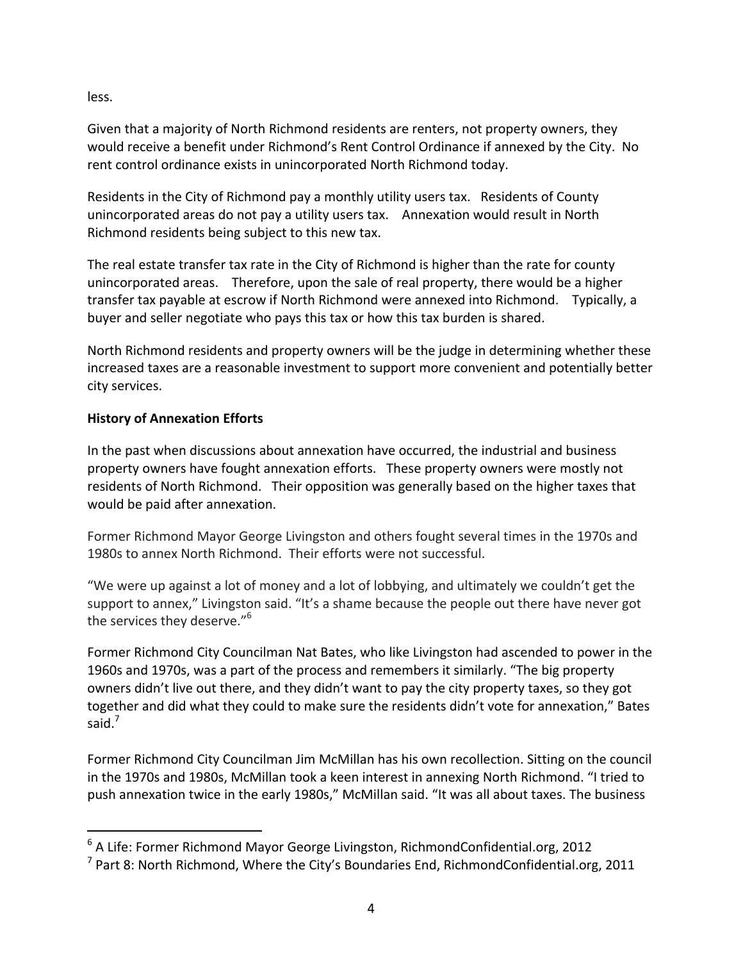less. 

Given that a majority of North Richmond residents are renters, not property owners, they would receive a benefit under Richmond's Rent Control Ordinance if annexed by the City. No rent control ordinance exists in unincorporated North Richmond today.

Residents in the City of Richmond pay a monthly utility users tax. Residents of County unincorporated areas do not pay a utility users tax. Annexation would result in North Richmond residents being subject to this new tax.

The real estate transfer tax rate in the City of Richmond is higher than the rate for county unincorporated areas. Therefore, upon the sale of real property, there would be a higher transfer tax payable at escrow if North Richmond were annexed into Richmond. Typically, a buyer and seller negotiate who pays this tax or how this tax burden is shared.

North Richmond residents and property owners will be the judge in determining whether these increased taxes are a reasonable investment to support more convenient and potentially better city services.

# **History of Annexation Efforts**

 

In the past when discussions about annexation have occurred, the industrial and business property owners have fought annexation efforts. These property owners were mostly not residents of North Richmond. Their opposition was generally based on the higher taxes that would be paid after annexation.

Former Richmond Mayor George Livingston and others fought several times in the 1970s and 1980s to annex North Richmond. Their efforts were not successful.

"We were up against a lot of money and a lot of lobbying, and ultimately we couldn't get the support to annex," Livingston said. "It's a shame because the people out there have never got the services they deserve." $6$ 

Former Richmond City Councilman Nat Bates, who like Livingston had ascended to power in the 1960s and 1970s, was a part of the process and remembers it similarly. "The big property owners didn't live out there, and they didn't want to pay the city property taxes, so they got together and did what they could to make sure the residents didn't vote for annexation," Bates said.<sup>7</sup>

Former Richmond City Councilman Jim McMillan has his own recollection. Sitting on the council in the 1970s and 1980s, McMillan took a keen interest in annexing North Richmond. "I tried to push annexation twice in the early 1980s," McMillan said. "It was all about taxes. The business

 $6$  A Life: Former Richmond Mayor George Livingston, RichmondConfidential.org, 2012

 $^7$  Part 8: North Richmond, Where the City's Boundaries End, RichmondConfidential.org, 2011